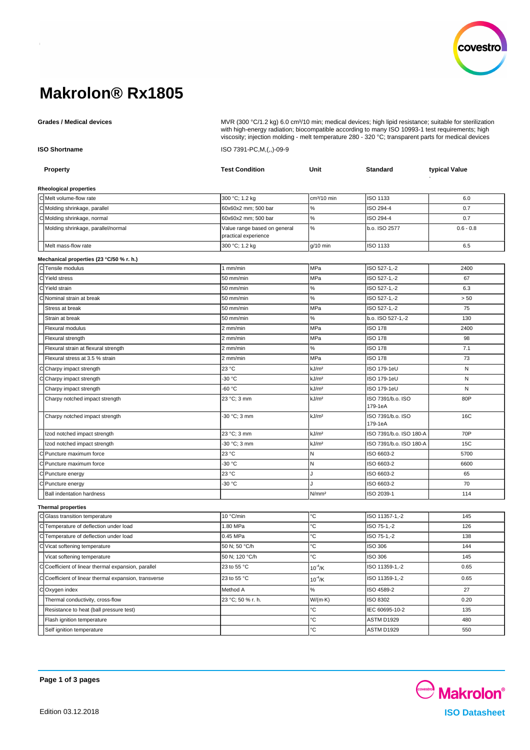

# **Makrolon® Rx1805**

Grades / Medical devices **Music and August 200 magic Com** MVR (300 °C/1.2 kg) 6.0 cm<sup>3</sup>/10 min; medical devices; high lipid resistance; suitable for sterilization

| <b>ISO Shortname</b> |                                                       | viscosity; injection molding - melt temperature 280 - 320 °C; transparent parts for medical devices<br>ISO 7391-PC, M, (,,)-09-9 |                         |                              |             |  |
|----------------------|-------------------------------------------------------|----------------------------------------------------------------------------------------------------------------------------------|-------------------------|------------------------------|-------------|--|
|                      |                                                       |                                                                                                                                  |                         |                              |             |  |
|                      | Rheological properties                                |                                                                                                                                  |                         |                              |             |  |
|                      | C Melt volume-flow rate                               | 300 °C; 1.2 kg                                                                                                                   | cm <sup>3</sup> /10 min | ISO 1133                     | 6.0         |  |
|                      | C Molding shrinkage, parallel                         | 60x60x2 mm; 500 bar                                                                                                              | $\%$                    | ISO 294-4                    | 0.7         |  |
|                      | C Molding shrinkage, normal                           | 60x60x2 mm; 500 bar                                                                                                              | $\%$                    | ISO 294-4                    | 0.7         |  |
|                      | Molding shrinkage, parallel/normal                    | Value range based on general<br>practical experience                                                                             | $\%$                    | b.o. ISO 2577                | $0.6 - 0.8$ |  |
|                      | Melt mass-flow rate                                   | 300 °C; 1.2 kg                                                                                                                   | $g/10$ min              | ISO 1133                     | 6.5         |  |
|                      | Mechanical properties (23 °C/50 % r. h.)              |                                                                                                                                  |                         |                              |             |  |
|                      | C Tensile modulus                                     | 1 mm/min                                                                                                                         | MPa                     | ISO 527-1,-2                 | 2400        |  |
|                      | C Yield stress                                        | 50 mm/min                                                                                                                        | MPa                     | ISO 527-1,-2                 | 67          |  |
|                      | C Yield strain                                        | 50 mm/min                                                                                                                        | $\%$                    | ISO 527-1,-2                 | 6.3         |  |
|                      | C Nominal strain at break                             | 50 mm/min                                                                                                                        | $\%$                    | ISO 527-1,-2                 | > 50        |  |
|                      | Stress at break                                       | 50 mm/min                                                                                                                        | MPa                     | ISO 527-1,-2                 | 75          |  |
|                      | Strain at break                                       | 50 mm/min                                                                                                                        | ℅                       | b.o. ISO 527-1,-2            | 130         |  |
|                      | Flexural modulus                                      | 2 mm/min                                                                                                                         | MPa                     | <b>ISO 178</b>               | 2400        |  |
|                      | Flexural strength                                     | 2 mm/min                                                                                                                         | MPa                     | <b>ISO 178</b>               | 98          |  |
|                      | Flexural strain at flexural strength                  | 2 mm/min                                                                                                                         | $\%$                    | <b>ISO 178</b>               | 7.1         |  |
|                      | Flexural stress at 3.5 % strain                       | 2 mm/min                                                                                                                         | MPa                     | <b>ISO 178</b>               | 73          |  |
|                      | C Charpy impact strength                              | 23 °C                                                                                                                            | kJ/m <sup>2</sup>       | ISO 179-1eU                  | N           |  |
|                      | Charpy impact strength                                | -30 °C                                                                                                                           | kJ/m <sup>2</sup>       | ISO 179-1eU                  | N           |  |
|                      | Charpy impact strength                                | $-60 °C$                                                                                                                         | kJ/m <sup>2</sup>       | <b>ISO 179-1eU</b>           | N           |  |
|                      | Charpy notched impact strength                        | 23 °C; 3 mm                                                                                                                      | kJ/m <sup>2</sup>       | ISO 7391/b.o. ISO<br>179-1eA | 80P         |  |
|                      | Charpy notched impact strength                        | -30 °C; 3 mm                                                                                                                     | kJ/m <sup>2</sup>       | ISO 7391/b.o. ISO<br>179-1eA | 16C         |  |
|                      | Izod notched impact strength                          | 23 °C; 3 mm                                                                                                                      | kJ/m <sup>2</sup>       | ISO 7391/b.o. ISO 180-A      | 70P         |  |
|                      | Izod notched impact strength                          | -30 °C; 3 mm                                                                                                                     | kJ/m <sup>2</sup>       | ISO 7391/b.o. ISO 180-A      | 15C         |  |
|                      | C Puncture maximum force                              | 23 °C                                                                                                                            | N                       | ISO 6603-2                   | 5700        |  |
|                      | C Puncture maximum force                              | -30 °C                                                                                                                           | N                       | ISO 6603-2                   | 6600        |  |
|                      | C Puncture energy                                     | 23 °C                                                                                                                            | J                       | ISO 6603-2                   | 65          |  |
|                      | Puncture energy                                       | -30 °C                                                                                                                           |                         | ISO 6603-2                   | 70          |  |
|                      | <b>Ball indentation hardness</b>                      |                                                                                                                                  | N/mm <sup>2</sup>       | ISO 2039-1                   | 114         |  |
|                      | <b>Thermal properties</b>                             |                                                                                                                                  |                         |                              |             |  |
|                      | C Glass transition temperature                        | 10 °C/min                                                                                                                        | с                       | ISO 11357-1,-2               | 145         |  |
|                      | C Temperature of deflection under load                | 1.80 MPa                                                                                                                         | °С                      | ISO 75-1,-2                  | 126         |  |
|                      | C Temperature of deflection under load                | 0.45 MPa                                                                                                                         | ℃                       | ISO 75-1,-2                  | 138         |  |
|                      | C Vicat softening temperature                         | 50 N; 50 °C/h                                                                                                                    | °C                      | ISO 306                      | 144         |  |
|                      | Vicat softening temperature                           | 50 N; 120 °C/h                                                                                                                   | Ċ                       | ISO 306                      | 145         |  |
|                      | C Coefficient of linear thermal expansion, parallel   | 23 to 55 °C                                                                                                                      | $10^{-4}$ /K            | ISO 11359-1,-2               | 0.65        |  |
|                      | C Coefficient of linear thermal expansion, transverse | 23 to 55 °C                                                                                                                      | $10^{-4}$ /K            | ISO 11359-1,-2               | 0.65        |  |
|                      | COxygen index                                         | Method A                                                                                                                         | $\%$                    | ISO 4589-2                   | 27          |  |
|                      | Thermal conductivity, cross-flow                      | 23 °C; 50 % r. h.                                                                                                                | $W/(m \cdot K)$         | ISO 8302                     | 0.20        |  |
|                      | Resistance to heat (ball pressure test)               |                                                                                                                                  | °C                      | IEC 60695-10-2               | 135         |  |
|                      | Flash ignition temperature                            |                                                                                                                                  | °C                      | ASTM D1929                   | 480         |  |

Self ignition temperature **and the self is a self in the self in the self in the self is a self ignition temperature** 550

with high-energy radiation; biocompatible according to many ISO 10993-1 test requirements; high

**Covestro** Makrolon<sup>®</sup> Edition 03.12.2018 **ISO Datasheet**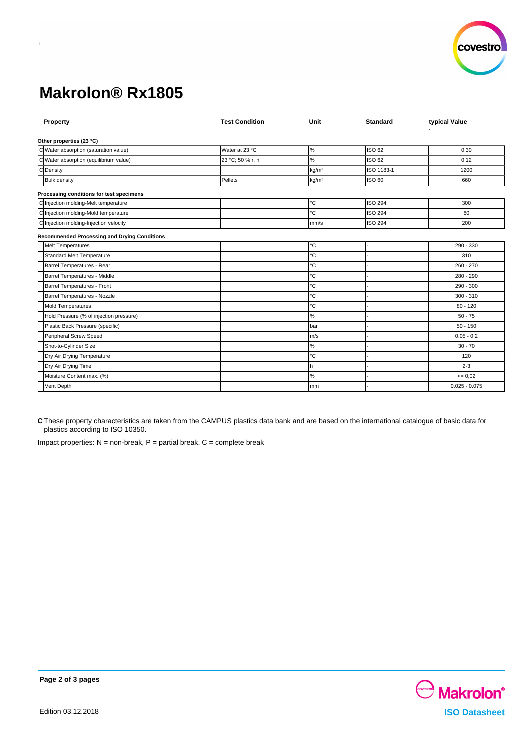

# **Makrolon® Rx1805**

| Property                                            | <b>Test Condition</b> | Unit              | <b>Standard</b> | typical Value   |
|-----------------------------------------------------|-----------------------|-------------------|-----------------|-----------------|
| Other properties (23 °C)                            |                       |                   |                 |                 |
| C Water absorption (saturation value)               | Water at 23 °C        | $\%$              | <b>ISO 62</b>   | 0.30            |
| C Water absorption (equilibrium value)              | 23 °C; 50 % r. h.     | $\%$              | ISO 62          | 0.12            |
| C Density                                           |                       | kg/m <sup>3</sup> | ISO 1183-1      | 1200            |
| <b>Bulk density</b>                                 | Pellets               | kg/m <sup>3</sup> | <b>ISO 60</b>   | 660             |
| Processing conditions for test specimens            |                       |                   |                 |                 |
| C Injection molding-Melt temperature                |                       | °C                | <b>ISO 294</b>  | 300             |
| C Injection molding-Mold temperature                |                       | °C                | <b>ISO 294</b>  | 80              |
| C Injection molding-Injection velocity              |                       | mm/s              | <b>ISO 294</b>  | 200             |
| <b>Recommended Processing and Drying Conditions</b> |                       |                   |                 |                 |
| <b>Melt Temperatures</b>                            |                       | °C                |                 | 290 - 330       |
| <b>Standard Melt Temperature</b>                    |                       | °С                |                 | 310             |
| Barrel Temperatures - Rear                          |                       | °C                |                 | $260 - 270$     |
| Barrel Temperatures - Middle                        |                       | °С                |                 | 280 - 290       |
| Barrel Temperatures - Front                         |                       | °C                |                 | $290 - 300$     |
| Barrel Temperatures - Nozzle                        |                       | °С                |                 | $300 - 310$     |
| <b>Mold Temperatures</b>                            |                       | °С                |                 | $80 - 120$      |
| Hold Pressure (% of injection pressure)             |                       | $\%$              |                 | $50 - 75$       |
| Plastic Back Pressure (specific)                    |                       | bar               |                 | $50 - 150$      |
| Peripheral Screw Speed                              |                       | m/s               |                 | $0.05 - 0.2$    |
| Shot-to-Cylinder Size                               |                       | $\%$              |                 | $30 - 70$       |
| Dry Air Drying Temperature                          |                       | °С                |                 | 120             |
| Dry Air Drying Time                                 |                       | h                 |                 | $2 - 3$         |
| Moisture Content max. (%)                           |                       | $\%$              |                 | $= 0.02$        |
| Vent Depth                                          |                       | mm                |                 | $0.025 - 0.075$ |

**C** These property characteristics are taken from the CAMPUS plastics data bank and are based on the international catalogue of basic data for plastics according to ISO 10350.

Impact properties:  $N =$  non-break,  $P =$  partial break,  $C =$  complete break